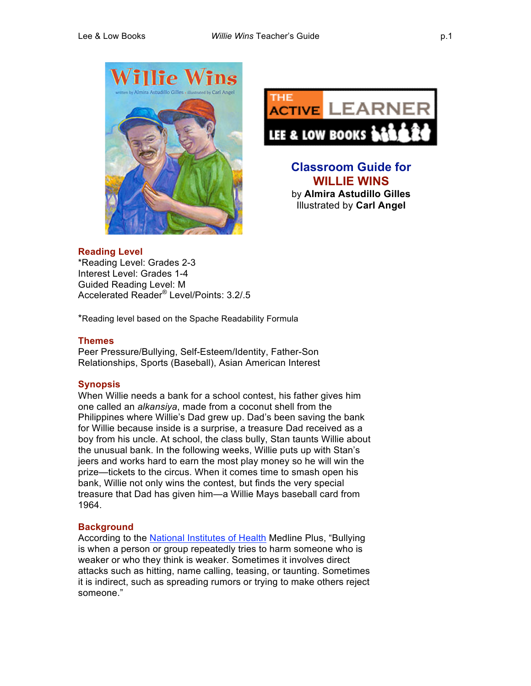



**Classroom Guide for WILLIE WINS** by **Almira Astudillo Gilles** Illustrated by **Carl Angel**

### **Reading Level**

\*Reading Level: Grades 2-3 Interest Level: Grades 1-4 Guided Reading Level: M Accelerated Reader® Level/Points: 3.2/.5

\*Reading level based on the Spache Readability Formula

### **Themes**

Peer Pressure/Bullying, Self-Esteem/Identity, Father-Son Relationships, Sports (Baseball), Asian American Interest

## **Synopsis**

When Willie needs a bank for a school contest, his father gives him one called an *alkansiya*, made from a coconut shell from the Philippines where Willie's Dad grew up. Dad's been saving the bank for Willie because inside is a surprise, a treasure Dad received as a boy from his uncle. At school, the class bully, Stan taunts Willie about the unusual bank. In the following weeks, Willie puts up with Stan's jeers and works hard to earn the most play money so he will win the prize—tickets to the circus. When it comes time to smash open his bank, Willie not only wins the contest, but finds the very special treasure that Dad has given him—a Willie Mays baseball card from 1964.

### **Background**

According to the National Institutes of Health Medline Plus, "Bullying is when a person or group repeatedly tries to harm someone who is weaker or who they think is weaker. Sometimes it involves direct attacks such as hitting, name calling, teasing, or taunting. Sometimes it is indirect, such as spreading rumors or trying to make others reject someone."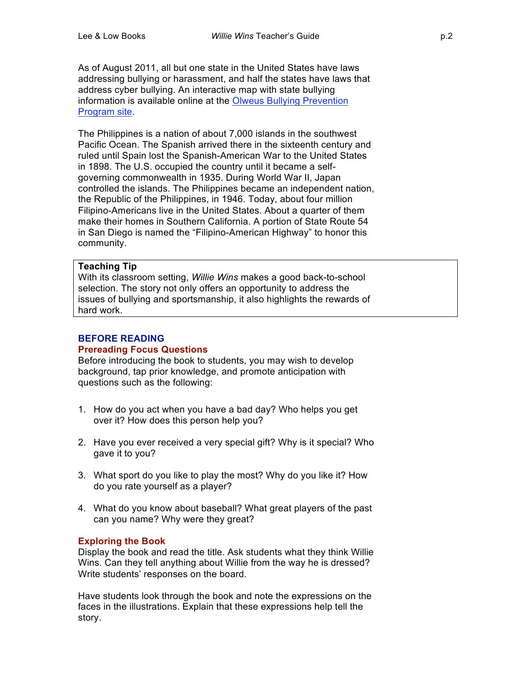As of August 2011, all but one state in the United States have laws addressing bullying or harassment, and half the states have laws that address cyber bullying. An interactive map with state bullying information is available online at the Olweus Bullying Prevention Program site.

The Philippines is a nation of about 7,000 islands in the southwest Pacific Ocean. The Spanish arrived there in the sixteenth century and ruled until Spain lost the Spanish-American War to the United States in 1898. The U.S. occupied the country until it became a selfgoverning commonwealth in 1935. During World War II, Japan controlled the islands. The Philippines became an independent nation, the Republic of the Philippines, in 1946. Today, about four million Filipino-Americans live in the United States. About a quarter of them make their homes in Southern California. A portion of State Route 54 in San Diego is named the "Filipino-American Highway" to honor this community.

### **Teaching Tip**

With its classroom setting, *Willie Wins* makes a good back-to-school selection. The story not only offers an opportunity to address the issues of bullying and sportsmanship, it also highlights the rewards of hard work.

#### **BEFORE READING Prereading Focus Questions**

Before introducing the book to students, you may wish to develop background, tap prior knowledge, and promote anticipation with questions such as the following:

- 1. How do you act when you have a bad day? Who helps you get over it? How does this person help you?
- 2. Have you ever received a very special gift? Why is it special? Who gave it to you?
- 3. What sport do you like to play the most? Why do you like it? How do you rate yourself as a player?
- 4. What do you know about baseball? What great players of the past can you name? Why were they great?

### **Exploring the Book**

Display the book and read the title. Ask students what they think Willie Wins. Can they tell anything about Willie from the way he is dressed? Write students' responses on the board.

Have students look through the book and note the expressions on the faces in the illustrations. Explain that these expressions help tell the story.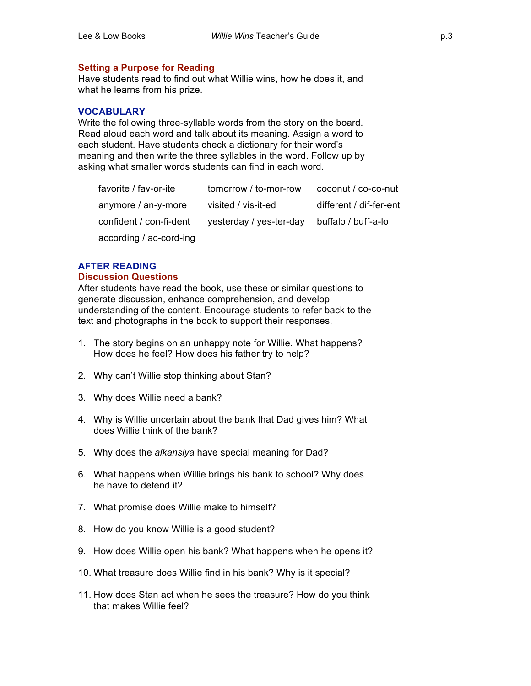## **Setting a Purpose for Reading**

Have students read to find out what Willie wins, how he does it, and what he learns from his prize.

### **VOCABULARY**

Write the following three-syllable words from the story on the board. Read aloud each word and talk about its meaning. Assign a word to each student. Have students check a dictionary for their word's meaning and then write the three syllables in the word. Follow up by asking what smaller words students can find in each word.

| favorite / fav-or-ite   | tomorrow / to-mor-row   | coconut / co-co-nut     |
|-------------------------|-------------------------|-------------------------|
| anymore / an-y-more     | visited / vis-it-ed     | different / dif-fer-ent |
| confident / con-fi-dent | yesterday / yes-ter-day | buffalo / buff-a-lo     |
| according / ac-cord-ing |                         |                         |

### **AFTER READING**

### **Discussion Questions**

After students have read the book, use these or similar questions to generate discussion, enhance comprehension, and develop understanding of the content. Encourage students to refer back to the text and photographs in the book to support their responses.

- 1. The story begins on an unhappy note for Willie. What happens? How does he feel? How does his father try to help?
- 2. Why can't Willie stop thinking about Stan?
- 3. Why does Willie need a bank?
- 4. Why is Willie uncertain about the bank that Dad gives him? What does Willie think of the bank?
- 5. Why does the *alkansiya* have special meaning for Dad?
- 6. What happens when Willie brings his bank to school? Why does he have to defend it?
- 7. What promise does Willie make to himself?
- 8. How do you know Willie is a good student?
- 9. How does Willie open his bank? What happens when he opens it?
- 10. What treasure does Willie find in his bank? Why is it special?
- 11. How does Stan act when he sees the treasure? How do you think that makes Willie feel?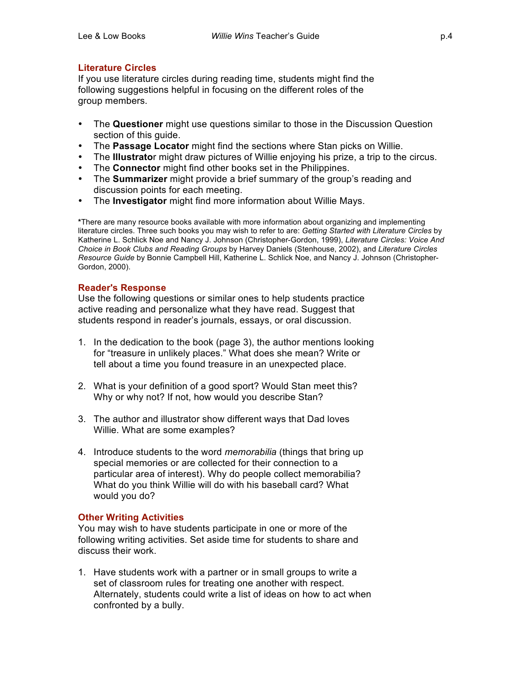## **Literature Circles**

If you use literature circles during reading time, students might find the following suggestions helpful in focusing on the different roles of the group members.

- The **Questioner** might use questions similar to those in the Discussion Question section of this quide.
- The **Passage Locator** might find the sections where Stan picks on Willie.
- The **Illustrato**r might draw pictures of Willie enjoying his prize, a trip to the circus.
- The **Connector** might find other books set in the Philippines.
- The **Summarizer** might provide a brief summary of the group's reading and discussion points for each meeting.
- The **Investigator** might find more information about Willie Mays.

**\***There are many resource books available with more information about organizing and implementing literature circles. Three such books you may wish to refer to are: *Getting Started with Literature Circles* by Katherine L. Schlick Noe and Nancy J. Johnson (Christopher-Gordon, 1999), *Literature Circles: Voice And Choice in Book Clubs and Reading Groups* by Harvey Daniels (Stenhouse, 2002), and *Literature Circles Resource Guide* by Bonnie Campbell Hill, Katherine L. Schlick Noe, and Nancy J. Johnson (Christopher-Gordon, 2000).

### **Reader's Response**

Use the following questions or similar ones to help students practice active reading and personalize what they have read. Suggest that students respond in reader's journals, essays, or oral discussion.

- 1. In the dedication to the book (page 3), the author mentions looking for "treasure in unlikely places." What does she mean? Write or tell about a time you found treasure in an unexpected place.
- 2. What is your definition of a good sport? Would Stan meet this? Why or why not? If not, how would you describe Stan?
- 3. The author and illustrator show different ways that Dad loves Willie. What are some examples?
- 4. Introduce students to the word *memorabilia* (things that bring up special memories or are collected for their connection to a particular area of interest). Why do people collect memorabilia? What do you think Willie will do with his baseball card? What would you do?

### **Other Writing Activities**

You may wish to have students participate in one or more of the following writing activities. Set aside time for students to share and discuss their work.

1. Have students work with a partner or in small groups to write a set of classroom rules for treating one another with respect. Alternately, students could write a list of ideas on how to act when confronted by a bully.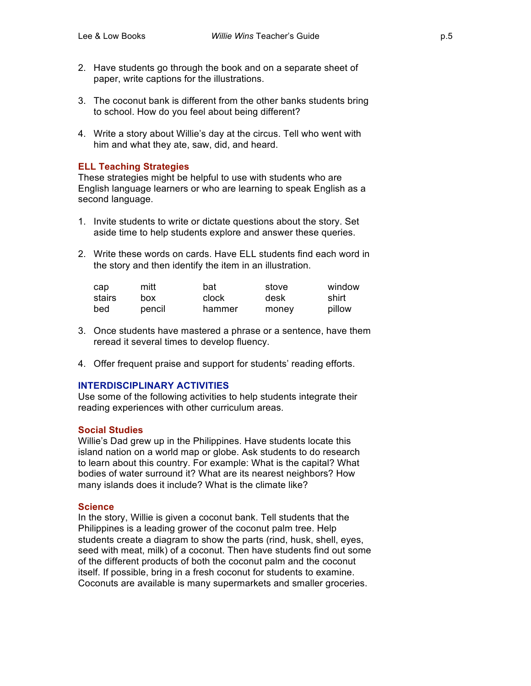- 2. Have students go through the book and on a separate sheet of paper, write captions for the illustrations.
- 3. The coconut bank is different from the other banks students bring to school. How do you feel about being different?
- 4. Write a story about Willie's day at the circus. Tell who went with him and what they ate, saw, did, and heard.

## **ELL Teaching Strategies**

These strategies might be helpful to use with students who are English language learners or who are learning to speak English as a second language.

- 1. Invite students to write or dictate questions about the story. Set aside time to help students explore and answer these queries.
- 2. Write these words on cards. Have ELL students find each word in the story and then identify the item in an illustration.

| cap    | mitt   | bat    | stove | window |
|--------|--------|--------|-------|--------|
| stairs | box    | clock  | desk  | shirt  |
| bed    | pencil | hammer | money | pillow |

- 3. Once students have mastered a phrase or a sentence, have them reread it several times to develop fluency.
- 4. Offer frequent praise and support for students' reading efforts.

## **INTERDISCIPLINARY ACTIVITIES**

Use some of the following activities to help students integrate their reading experiences with other curriculum areas.

### **Social Studies**

Willie's Dad grew up in the Philippines. Have students locate this island nation on a world map or globe. Ask students to do research to learn about this country. For example: What is the capital? What bodies of water surround it? What are its nearest neighbors? How many islands does it include? What is the climate like?

### **Science**

In the story, Willie is given a coconut bank. Tell students that the Philippines is a leading grower of the coconut palm tree. Help students create a diagram to show the parts (rind, husk, shell, eyes, seed with meat, milk) of a coconut. Then have students find out some of the different products of both the coconut palm and the coconut itself. If possible, bring in a fresh coconut for students to examine. Coconuts are available is many supermarkets and smaller groceries.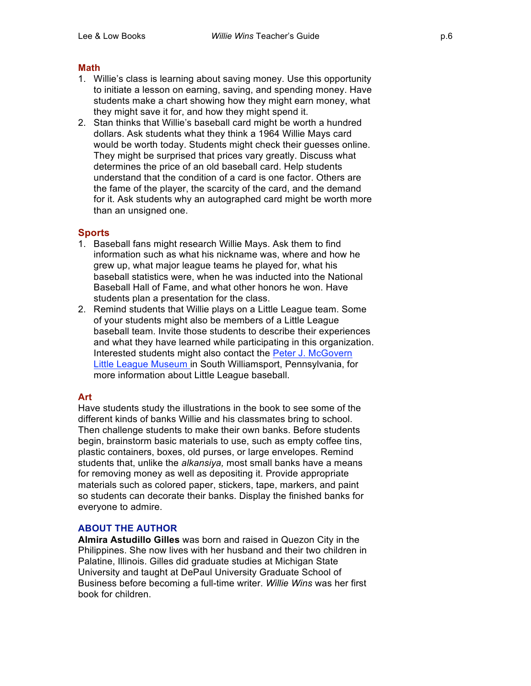### **Math**

- 1. Willie's class is learning about saving money. Use this opportunity to initiate a lesson on earning, saving, and spending money. Have students make a chart showing how they might earn money, what they might save it for, and how they might spend it.
- 2. Stan thinks that Willie's baseball card might be worth a hundred dollars. Ask students what they think a 1964 Willie Mays card would be worth today. Students might check their guesses online. They might be surprised that prices vary greatly. Discuss what determines the price of an old baseball card. Help students understand that the condition of a card is one factor. Others are the fame of the player, the scarcity of the card, and the demand for it. Ask students why an autographed card might be worth more than an unsigned one.

## **Sports**

- 1. Baseball fans might research Willie Mays. Ask them to find information such as what his nickname was, where and how he grew up, what major league teams he played for, what his baseball statistics were, when he was inducted into the National Baseball Hall of Fame, and what other honors he won. Have students plan a presentation for the class.
- 2. Remind students that Willie plays on a Little League team. Some of your students might also be members of a Little League baseball team. Invite those students to describe their experiences and what they have learned while participating in this organization. Interested students might also contact the Peter J. McGovern Little League Museum in South Williamsport, Pennsylvania, for more information about Little League baseball.

## **Art**

Have students study the illustrations in the book to see some of the different kinds of banks Willie and his classmates bring to school. Then challenge students to make their own banks. Before students begin, brainstorm basic materials to use, such as empty coffee tins, plastic containers, boxes, old purses, or large envelopes. Remind students that, unlike the *alkansiya,* most small banks have a means for removing money as well as depositing it. Provide appropriate materials such as colored paper, stickers, tape, markers, and paint so students can decorate their banks. Display the finished banks for everyone to admire.

### **ABOUT THE AUTHOR**

**Almira Astudillo Gilles** was born and raised in Quezon City in the Philippines. She now lives with her husband and their two children in Palatine, Illinois. Gilles did graduate studies at Michigan State University and taught at DePaul University Graduate School of Business before becoming a full-time writer. *Willie Wins* was her first book for children.